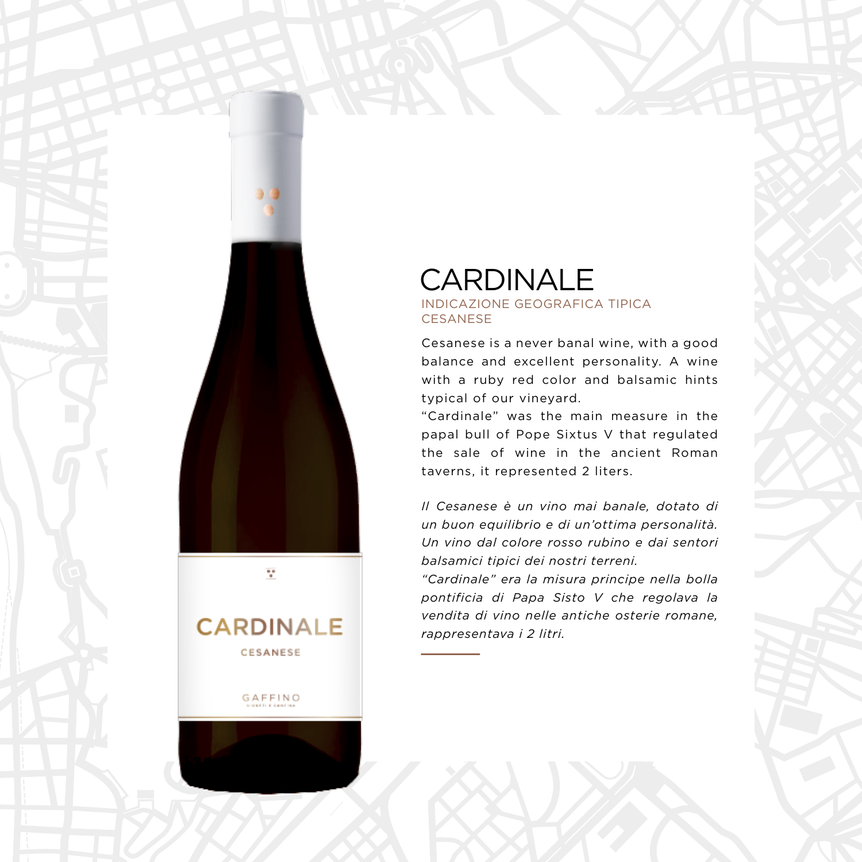## **CARDINALE**

v

**CARDINALE** CESANESE

GAFFINO

## INDICAZIONE GEOGRAFICA TIPICA **CESANESE**

Cesanese is a never banal wine, with a good balance and excellent personality. A wine with a ruby red color and balsamic hints typical of our vineyard.

"Cardinale" was the main measure in the papal bull of Pope Sixtus V that regulated the sale of wine in the ancient Roman taverns, it represented 2 liters.

*Il Cesanese è un vino mai banale, dotato di un buon equilibrio e di un'ottima personalità. Un vino dal colore rosso rubino e dai sentori balsamici tipici dei nostri terreni.*

*"Cardinale" era la misura principe nella bolla pontificia di Papa Sisto V che regolava la vendita di vino nelle antiche osterie romane, rappresentava i 2 litri.*